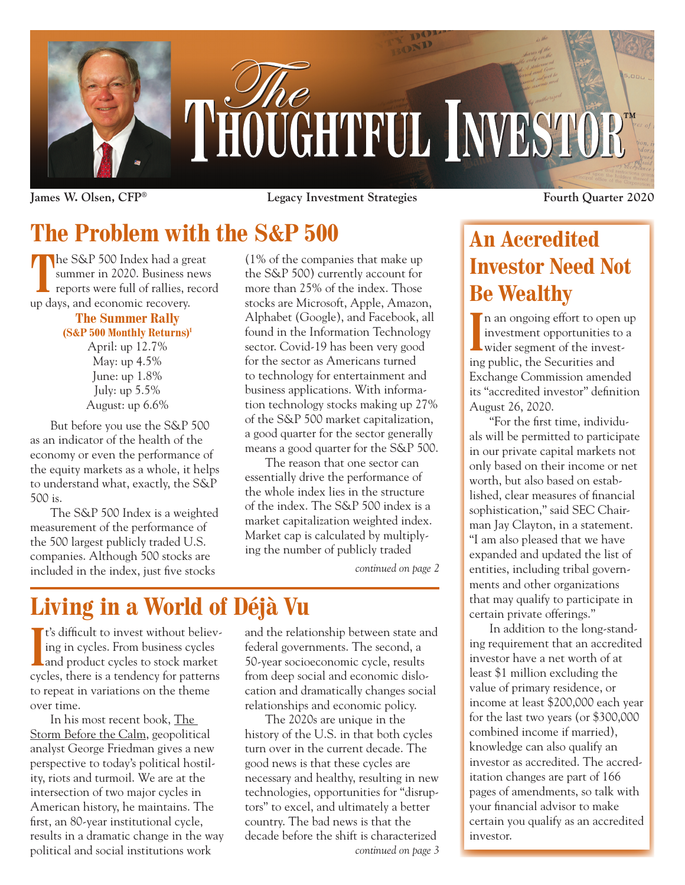

**James W. Olsen, CFP® Legacy Investment Strategies Fourth Quarter 2020**

## **The Problem with the S&P 500**

The S&P 500 Index had a great summer in 2020. Business news reports were full of rallies, record summer in 2020. Business news up days, and economic recovery.

#### **The Summer Rally (S&P 500 Monthly Returns)1**

April: up 12.7% May: up 4.5% June: up 1.8% July: up 5.5% August: up 6.6%

But before you use the S&P 500 as an indicator of the health of the economy or even the performance of the equity markets as a whole, it helps to understand what, exactly, the S&P 500 is.

The S&P 500 Index is a weighted measurement of the performance of the 500 largest publicly traded U.S. companies. Although 500 stocks are included in the index, just five stocks

(1% of the companies that make up the S&P 500) currently account for more than 25% of the index. Those stocks are Microsoft, Apple, Amazon, Alphabet (Google), and Facebook, all found in the Information Technology sector. Covid-19 has been very good for the sector as Americans turned to technology for entertainment and business applications. With information technology stocks making up 27% of the S&P 500 market capitalization, a good quarter for the sector generally means a good quarter for the S&P 500.

The reason that one sector can essentially drive the performance of the whole index lies in the structure of the index. The S&P 500 index is a market capitalization weighted index. Market cap is calculated by multiplying the number of publicly traded

*continued on page 2*

# **Living in a World of Déjà Vu**

IF S difficult to invest without believ-<br>ing in cycles. From business cycles<br>and product cycles to stock market **T** t's difficult to invest without believing in cycles. From business cycles cycles, there is a tendency for patterns to repeat in variations on the theme over time.

In his most recent book, The Storm Before the Calm, geopolitical analyst George Friedman gives a new perspective to today's political hostility, riots and turmoil. We are at the intersection of two major cycles in American history, he maintains. The first, an 80-year institutional cycle, results in a dramatic change in the way political and social institutions work

and the relationship between state and federal governments. The second, a 50-year socioeconomic cycle, results from deep social and economic dislocation and dramatically changes social relationships and economic policy.

The 2020s are unique in the history of the U.S. in that both cycles turn over in the current decade. The good news is that these cycles are necessary and healthy, resulting in new technologies, opportunities for "disruptors" to excel, and ultimately a better country. The bad news is that the decade before the shift is characterized *continued on page 3*

### **An Accredited Investor Need Not Be Wealthy**

In an ongoing errort to open investment opportunities to<br>
wider segment of the investn an ongoing effort to open up investment opportunities to a ing public, the Securities and Exchange Commission amended its "accredited investor" definition August 26, 2020.

"For the first time, individuals will be permitted to participate in our private capital markets not only based on their income or net worth, but also based on established, clear measures of financial sophistication," said SEC Chairman Jay Clayton, in a statement. "I am also pleased that we have expanded and updated the list of entities, including tribal governments and other organizations that may qualify to participate in certain private offerings."

In addition to the long-standing requirement that an accredited investor have a net worth of at least \$1 million excluding the value of primary residence, or income at least \$200,000 each year for the last two years (or \$300,000 combined income if married), knowledge can also qualify an investor as accredited. The accreditation changes are part of 166 pages of amendments, so talk with your financial advisor to make certain you qualify as an accredited investor.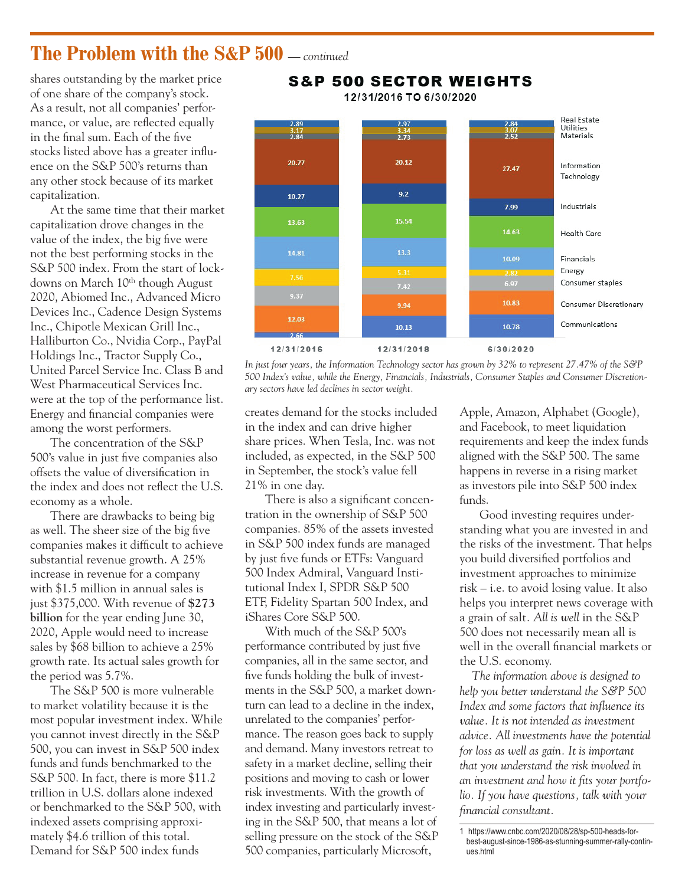#### **The Problem with the S&P 500** *— continued*

shares outstanding by the market price of one share of the company's stock. As a result, not all companies' performance, or value, are reflected equally in the final sum. Each of the five stocks listed above has a greater influence on the S&P 500's returns than any other stock because of its market capitalization.

At the same time that their market capitalization drove changes in the value of the index, the big five were not the best performing stocks in the S&P 500 index. From the start of lockdowns on March 10<sup>th</sup> though August 2020, Abiomed Inc., Advanced Micro Devices Inc., Cadence Design Systems Inc., Chipotle Mexican Grill Inc., Halliburton Co., Nvidia Corp., PayPal Holdings Inc., Tractor Supply Co., United Parcel Service Inc. Class B and West Pharmaceutical Services Inc. were at the top of the performance list. Energy and financial companies were among the worst performers.

The concentration of the S&P 500's value in just five companies also offsets the value of diversification in the index and does not reflect the U.S. economy as a whole.

There are drawbacks to being big as well. The sheer size of the big five companies makes it difficult to achieve substantial revenue growth. A 25% increase in revenue for a company with \$1.5 million in annual sales is just \$375,000. With revenue of **\$273 billion** for the year ending June 30, 2020, Apple would need to increase sales by \$68 billion to achieve a 25% growth rate. Its actual sales growth for the period was 5.7%.

The S&P 500 is more vulnerable to market volatility because it is the most popular investment index. While you cannot invest directly in the S&P 500, you can invest in S&P 500 index funds and funds benchmarked to the S&P 500. In fact, there is more \$11.2 trillion in U.S. dollars alone indexed or benchmarked to the S&P 500, with indexed assets comprising approximately \$4.6 trillion of this total. Demand for S&P 500 index funds



**S&P 500 SECTOR WEIGHTS** 

*In just four years, the Information Technology sector has grown by 32% to represent 27.47% of the S&P 500 Index's value, while the Energy, Financials, Industrials, Consumer Staples and Consumer Discretionary sectors have led declines in sector weight.*

creates demand for the stocks included in the index and can drive higher share prices. When Tesla, Inc. was not included, as expected, in the S&P 500 in September, the stock's value fell 21% in one day.

There is also a significant concentration in the ownership of S&P 500 companies. 85% of the assets invested in S&P 500 index funds are managed by just five funds or ETFs: Vanguard 500 Index Admiral, Vanguard Institutional Index I, SPDR S&P 500 ETF, Fidelity Spartan 500 Index, and iShares Core S&P 500.

With much of the S&P 500's performance contributed by just five companies, all in the same sector, and five funds holding the bulk of investments in the S&P 500, a market downturn can lead to a decline in the index, unrelated to the companies' performance. The reason goes back to supply and demand. Many investors retreat to safety in a market decline, selling their positions and moving to cash or lower risk investments. With the growth of index investing and particularly investing in the S&P 500, that means a lot of selling pressure on the stock of the S&P 500 companies, particularly Microsoft,

Apple, Amazon, Alphabet (Google), and Facebook, to meet liquidation requirements and keep the index funds aligned with the S&P 500. The same happens in reverse in a rising market as investors pile into S&P 500 index funds.

Good investing requires understanding what you are invested in and the risks of the investment. That helps you build diversified portfolios and investment approaches to minimize risk – i.e. to avoid losing value. It also helps you interpret news coverage with a grain of salt*. All is well* in the S&P 500 does not necessarily mean all is well in the overall financial markets or the U.S. economy.

*The information above is designed to help you better understand the S&P 500 Index and some factors that influence its value. It is not intended as investment advice. All investments have the potential for loss as well as gain. It is important that you understand the risk involved in an investment and how it fits your portfolio. If you have questions, talk with your financial consultant.*

<sup>1</sup>  https://www.cnbc.com/2020/08/28/sp-500-heads-forbest-august-since-1986-as-stunning-summer-rally-continues.html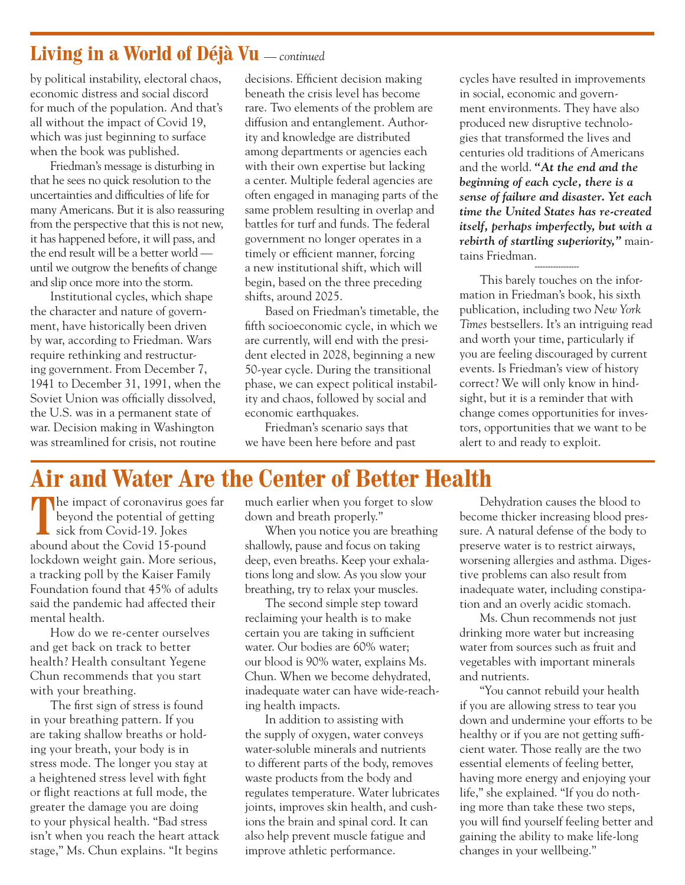#### **Living in a World of Déjà Vu** *— continued*

by political instability, electoral chaos, economic distress and social discord for much of the population. And that's all without the impact of Covid 19, which was just beginning to surface when the book was published.

Friedman's message is disturbing in that he sees no quick resolution to the uncertainties and difficulties of life for many Americans. But it is also reassuring from the perspective that this is not new, it has happened before, it will pass, and the end result will be a better world until we outgrow the benefits of change and slip once more into the storm.

Institutional cycles, which shape the character and nature of government, have historically been driven by war, according to Friedman. Wars require rethinking and restructuring government. From December 7, 1941 to December 31, 1991, when the Soviet Union was officially dissolved, the U.S. was in a permanent state of war. Decision making in Washington was streamlined for crisis, not routine

decisions. Efficient decision making beneath the crisis level has become rare. Two elements of the problem are diffusion and entanglement. Authority and knowledge are distributed among departments or agencies each with their own expertise but lacking a center. Multiple federal agencies are often engaged in managing parts of the same problem resulting in overlap and battles for turf and funds. The federal government no longer operates in a timely or efficient manner, forcing a new institutional shift, which will begin, based on the three preceding shifts, around 2025.

Based on Friedman's timetable, the fifth socioeconomic cycle, in which we are currently, will end with the president elected in 2028, beginning a new 50-year cycle. During the transitional phase, we can expect political instability and chaos, followed by social and economic earthquakes.

Friedman's scenario says that we have been here before and past cycles have resulted in improvements in social, economic and government environments. They have also produced new disruptive technologies that transformed the lives and centuries old traditions of Americans and the world. *"At the end and the beginning of each cycle, there is a sense of failure and disaster. Yet each time the United States has re-created itself, perhaps imperfectly, but with a rebirth of startling superiority,"* maintains Friedman.

This barely touches on the information in Friedman's book, his sixth publication, including two *New York Times* bestsellers. It's an intriguing read and worth your time, particularly if you are feeling discouraged by current events. Is Friedman's view of history correct? We will only know in hindsight, but it is a reminder that with change comes opportunities for investors, opportunities that we want to be alert to and ready to exploit.

-----------------

#### **Air and Water Are the Center of Better Health**

The impact of coronavirus goes far beyond the potential of getting sick from Covid-19. Jokes abound about the Covid 15-pound lockdown weight gain. More serious, a tracking poll by the Kaiser Family Foundation found that 45% of adults said the pandemic had affected their mental health.

How do we re-center ourselves and get back on track to better health? Health consultant Yegene Chun recommends that you start with your breathing.

The first sign of stress is found in your breathing pattern. If you are taking shallow breaths or holding your breath, your body is in stress mode. The longer you stay at a heightened stress level with fight or flight reactions at full mode, the greater the damage you are doing to your physical health. "Bad stress isn't when you reach the heart attack stage," Ms. Chun explains. "It begins

much earlier when you forget to slow down and breath properly."

When you notice you are breathing shallowly, pause and focus on taking deep, even breaths. Keep your exhalations long and slow. As you slow your breathing, try to relax your muscles.

The second simple step toward reclaiming your health is to make certain you are taking in sufficient water. Our bodies are 60% water; our blood is 90% water, explains Ms. Chun. When we become dehydrated, inadequate water can have wide-reaching health impacts.

In addition to assisting with the supply of oxygen, water conveys water-soluble minerals and nutrients to different parts of the body, removes waste products from the body and regulates temperature. Water lubricates joints, improves skin health, and cushions the brain and spinal cord. It can also help prevent muscle fatigue and improve athletic performance.

Dehydration causes the blood to become thicker increasing blood pressure. A natural defense of the body to preserve water is to restrict airways, worsening allergies and asthma. Digestive problems can also result from inadequate water, including constipation and an overly acidic stomach.

Ms. Chun recommends not just drinking more water but increasing water from sources such as fruit and vegetables with important minerals and nutrients.

"You cannot rebuild your health if you are allowing stress to tear you down and undermine your efforts to be healthy or if you are not getting sufficient water. Those really are the two essential elements of feeling better, having more energy and enjoying your life," she explained. "If you do nothing more than take these two steps, you will find yourself feeling better and gaining the ability to make life-long changes in your wellbeing."